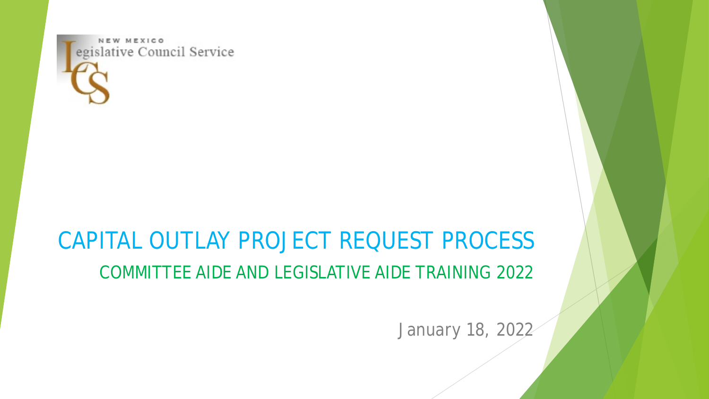

## CAPITAL OUTLAY PROJECT REQUEST PROCESS COMMITTEE AIDE AND LEGISLATIVE AIDE TRAINING 2022

January 18, 2022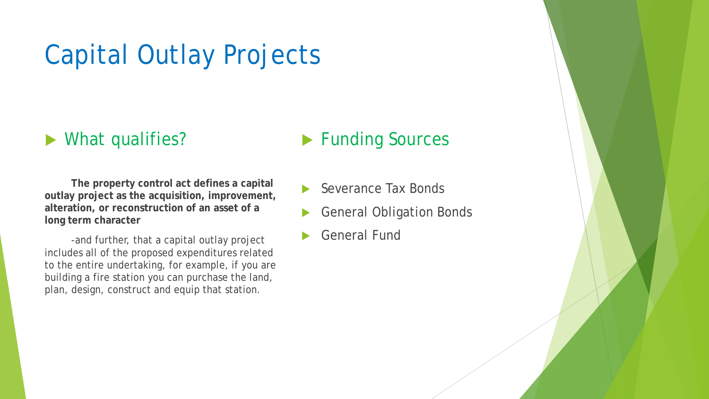# Capital Outlay Projects

#### ▶ What qualifies?

#### **Funding Sources**

**The property control act defines a capital outlay project as the acquisition, improvement, alteration, or reconstruction of an asset of a long term character** 

-and further, that a capital outlay project includes all of the proposed expenditures related to the entire undertaking, for example, if you are building a fire station you can purchase the land, plan, design, construct and equip that station.

- Severance Tax Bonds
- General Obligation Bonds
- General Fund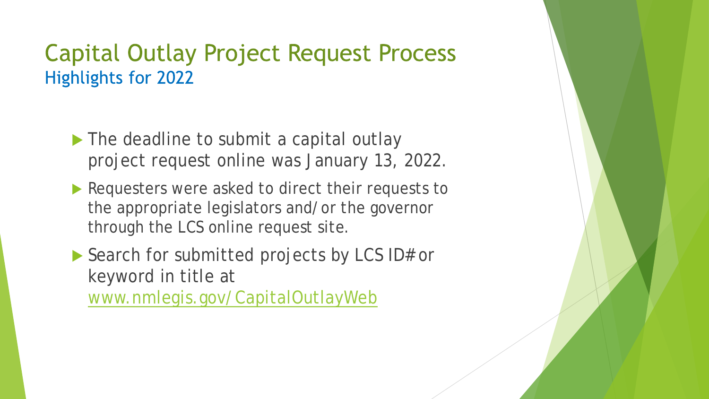### **Capital Outlay Project Request Process Highlights for 2022**

- The deadline to submit a capital outlay project request online was January 13, 2022.
- Requesters were asked to direct their requests to the appropriate legislators and/or the governor through the LCS online request site.
- Search for submitted projects by LCS ID# or keyword in title at [www.nmlegis.gov/CapitalOutlayWeb](http://www.nmlegis.gov/CapitalOutlayWeb/)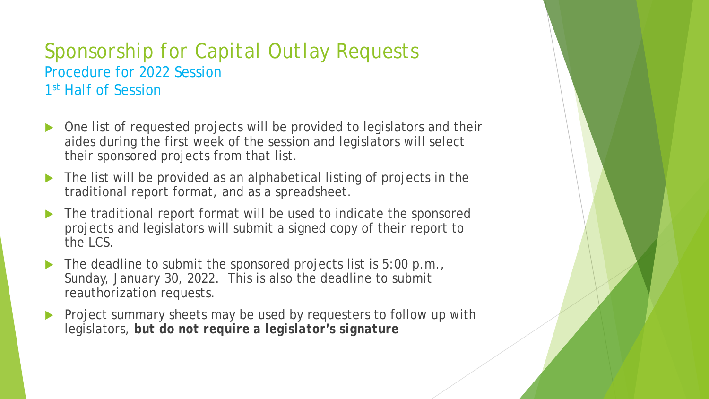### *Sponsorship for Capital Outlay Requests* Procedure for 2022 Session 1<sup>st</sup> Half of Session

- One list of requested projects will be provided to legislators and their aides during the first week of the session and legislators will select their sponsored projects from that list.
- The list will be provided as an alphabetical listing of projects in the traditional report format, and as a spreadsheet.
- The traditional report format will be used to indicate the sponsored projects and legislators will submit a signed copy of their report to the LCS.
- The deadline to submit the sponsored projects list is 5:00 p.m., Sunday, January 30, 2022. This is also the deadline to submit reauthorization requests.
- Project summary sheets may be used by requesters to follow up with legislators, *but do not require a legislator's signature*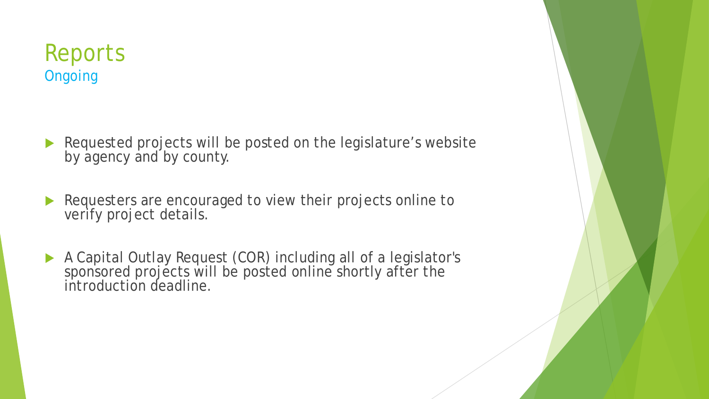### Reports **Ongoing**

- Requested projects will be posted on the legislature's website by agency and by county.
- Requesters are encouraged to view their projects online to verify project details.
- A Capital Outlay Request (COR) including all of a legislator's sponsored projects will be posted online shortly after the introduction deadline.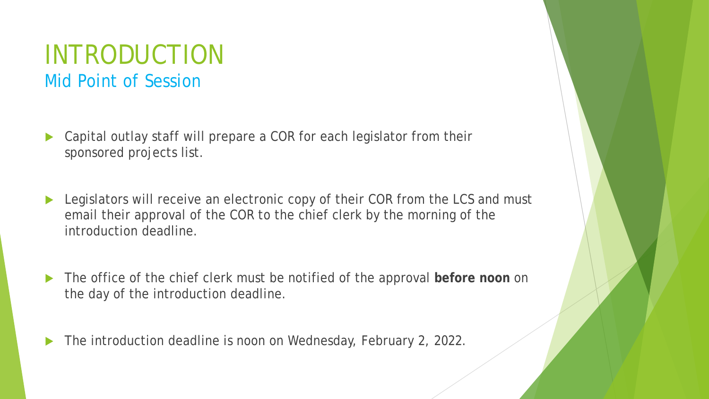### INTRODUCTION Mid Point of Session

- Capital outlay staff will prepare a COR for each legislator from their sponsored projects list.
- ▶ Legislators will receive an electronic copy of their COR from the LCS and must email their approval of the COR to the chief clerk by the morning of the introduction deadline.
- The office of the chief clerk must be notified of the approval **before noon** on the day of the introduction deadline.
- The introduction deadline is noon on Wednesday, February 2, 2022.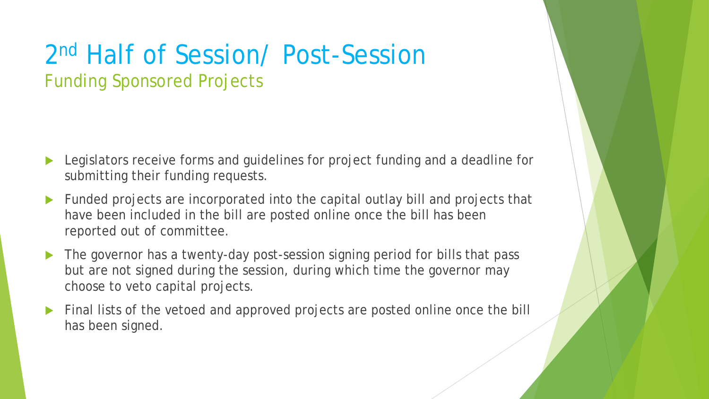## 2nd Half of Session/ Post-Session Funding Sponsored Projects

- Legislators receive forms and guidelines for project funding and a deadline for submitting their funding requests.
- Funded projects are incorporated into the capital outlay bill and projects that have been included in the bill are posted online once the bill has been reported out of committee.
- The governor has a twenty-day post-session signing period for bills that pass but are not signed during the session, during which time the governor may choose to veto capital projects.
- Final lists of the vetoed and approved projects are posted online once the bill has been signed.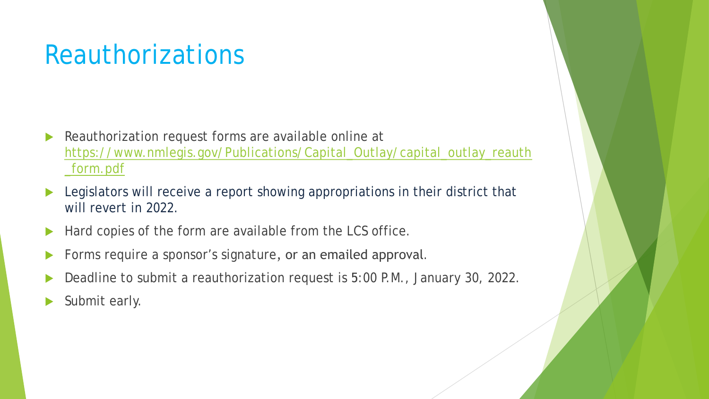# **Reauthorizations**

- **Reauthorization request forms are available online at** [https://www.nmlegis.gov/Publications/Capital\\_Outlay/capital\\_outlay\\_reauth](https://www.nmlegis.gov/Publications/Capital_Outlay/capital_outlay_reauth_form.pdf) \_form.pdf
- Legislators will receive a report showing appropriations in their district that will revert in 2022.
- Hard copies of the form are available from the LCS office.
- Forms require a sponsor's signature, or an emailed approval.
- Deadline to submit a reauthorization request is 5:00 P.M., January 30, 2022.
- Submit early.